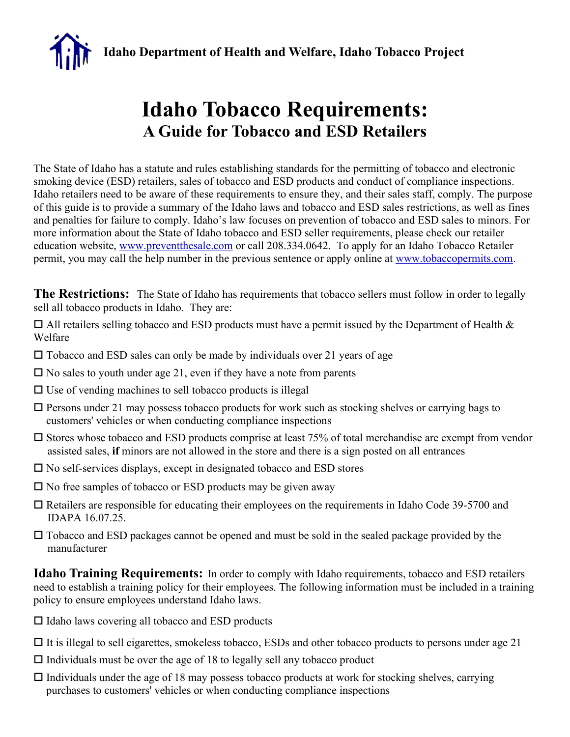**Idaho Department of Health and Welfare, Idaho Tobacco Project**

## **Idaho Tobacco Requirements: A Guide for Tobacco and ESD Retailers**

The State of Idaho has a statute and rules establishing standards for the permitting of tobacco and electronic smoking device (ESD) retailers, sales of tobacco and ESD products and conduct of compliance inspections. Idaho retailers need to be aware of these requirements to ensure they, and their sales staff, comply. The purpose of this guide is to provide a summary of the Idaho laws and tobacco and ESD sales restrictions, as well as fines and penalties for failure to comply. Idaho's law focuses on prevention of tobacco and ESD sales to minors. For more information about the State of Idaho tobacco and ESD seller requirements, please check our retailer education website, www.preventthesale.com or call 208.334.0642. To apply for an Idaho Tobacco Retailer permit, you may call the help number in the previous sentence or apply online at www.tobaccopermits.com.

**The Restrictions:** The State of Idaho has requirements that tobacco sellers must follow in order to legally sell all tobacco products in Idaho. They are:

 $\Box$  All retailers selling tobacco and ESD products must have a permit issued by the Department of Health & Welfare

- $\square$  Tobacco and ESD sales can only be made by individuals over 21 years of age
- $\square$  No sales to youth under age 21, even if they have a note from parents
- $\Box$  Use of vending machines to sell tobacco products is illegal
- $\Box$  Persons under 21 may possess tobacco products for work such as stocking shelves or carrying bags to customers' vehicles or when conducting compliance inspections
- $\square$  Stores whose tobacco and ESD products comprise at least 75% of total merchandise are exempt from vendor assisted sales, **if** minors are not allowed in the store and there is a sign posted on all entrances
- $\square$  No self-services displays, except in designated tobacco and ESD stores
- $\square$  No free samples of tobacco or ESD products may be given away
- Retailers are responsible for educating their employees on the requirements in Idaho Code 39-5700 and IDAPA 16.07.25.
- □ Tobacco and ESD packages cannot be opened and must be sold in the sealed package provided by the manufacturer

**Idaho Training Requirements:** In order to comply with Idaho requirements, tobacco and ESD retailers need to establish a training policy for their employees. The following information must be included in a training policy to ensure employees understand Idaho laws.

- $\Box$  Idaho laws covering all tobacco and ESD products
- $\Box$  It is illegal to sell cigarettes, smokeless tobacco, ESDs and other tobacco products to persons under age 21
- $\Box$  Individuals must be over the age of 18 to legally sell any tobacco product
- $\Box$  Individuals under the age of 18 may possess tobacco products at work for stocking shelves, carrying purchases to customers' vehicles or when conducting compliance inspections